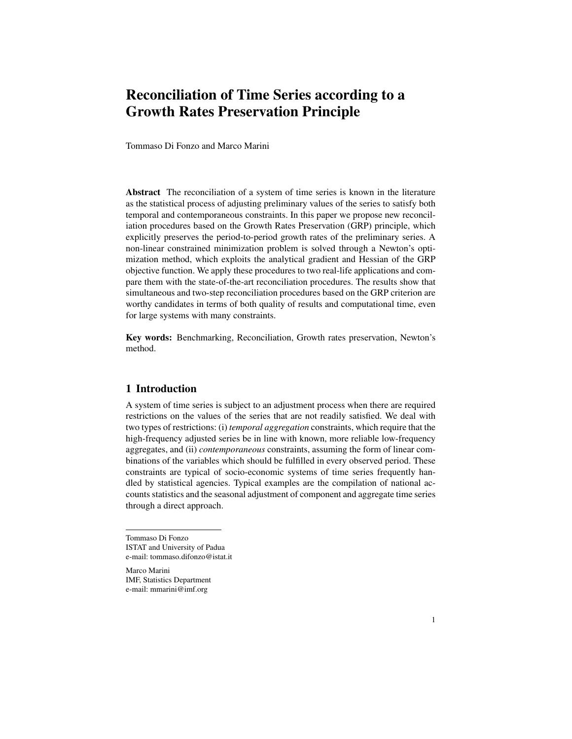# Reconciliation of Time Series according to a Growth Rates Preservation Principle

Tommaso Di Fonzo and Marco Marini

Abstract The reconciliation of a system of time series is known in the literature as the statistical process of adjusting preliminary values of the series to satisfy both temporal and contemporaneous constraints. In this paper we propose new reconciliation procedures based on the Growth Rates Preservation (GRP) principle, which explicitly preserves the period-to-period growth rates of the preliminary series. A non-linear constrained minimization problem is solved through a Newton's optimization method, which exploits the analytical gradient and Hessian of the GRP objective function. We apply these procedures to two real-life applications and compare them with the state-of-the-art reconciliation procedures. The results show that simultaneous and two-step reconciliation procedures based on the GRP criterion are worthy candidates in terms of both quality of results and computational time, even for large systems with many constraints.

Key words: Benchmarking, Reconciliation, Growth rates preservation, Newton's method.

## 1 Introduction

A system of time series is subject to an adjustment process when there are required restrictions on the values of the series that are not readily satisfied. We deal with two types of restrictions: (i) *temporal aggregation* constraints, which require that the high-frequency adjusted series be in line with known, more reliable low-frequency aggregates, and (ii) *contemporaneous* constraints, assuming the form of linear combinations of the variables which should be fulfilled in every observed period. These constraints are typical of socio-economic systems of time series frequently handled by statistical agencies. Typical examples are the compilation of national accounts statistics and the seasonal adjustment of component and aggregate time series through a direct approach.

Tommaso Di Fonzo ISTAT and University of Padua e-mail: tommaso.difonzo@istat.it

Marco Marini IMF, Statistics Department e-mail: mmarini@imf.org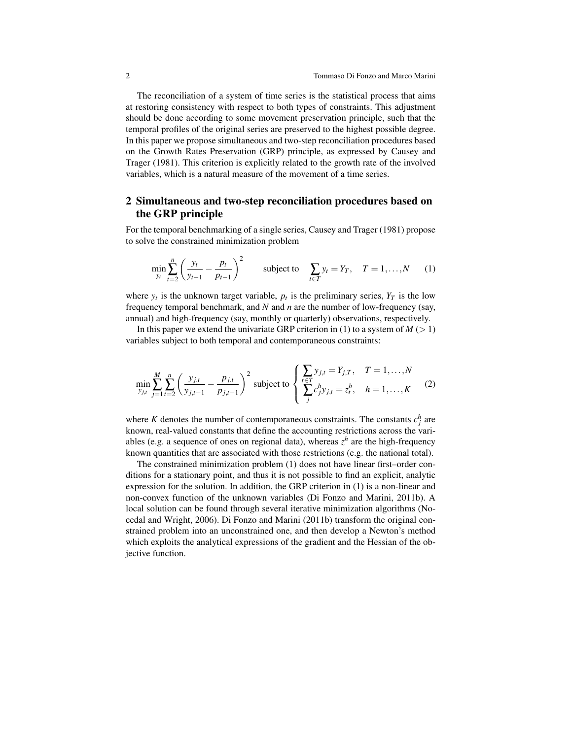The reconciliation of a system of time series is the statistical process that aims at restoring consistency with respect to both types of constraints. This adjustment should be done according to some movement preservation principle, such that the temporal profiles of the original series are preserved to the highest possible degree. In this paper we propose simultaneous and two-step reconciliation procedures based on the Growth Rates Preservation (GRP) principle, as expressed by Causey and Trager (1981). This criterion is explicitly related to the growth rate of the involved variables, which is a natural measure of the movement of a time series.

# 2 Simultaneous and two-step reconciliation procedures based on the GRP principle

For the temporal benchmarking of a single series, Causey and Trager (1981) propose to solve the constrained minimization problem

$$
\min_{y_t} \sum_{t=2}^n \left( \frac{y_t}{y_{t-1}} - \frac{p_t}{p_{t-1}} \right)^2 \quad \text{subject to} \quad \sum_{t \in T} y_t = Y_T, \quad T = 1, \dots, N \quad (1)
$$

where  $y_t$  is the unknown target variable,  $p_t$  is the preliminary series,  $Y_T$  is the low frequency temporal benchmark, and *N* and *n* are the number of low-frequency (say, annual) and high-frequency (say, monthly or quarterly) observations, respectively.

In this paper we extend the univariate GRP criterion in (1) to a system of  $M \geq 1$ ) variables subject to both temporal and contemporaneous constraints:

$$
\min_{y_{j,t}} \sum_{j=1}^{M} \sum_{t=2}^{n} \left( \frac{y_{j,t}}{y_{j,t-1}} - \frac{p_{j,t}}{p_{j,t-1}} \right)^2 \text{ subject to } \left\{ \sum_{t=T}^{t \in T} y_{j,t} = Y_{j,T}, \quad T = 1, ..., N
$$
\n(2)

where *K* denotes the number of contemporaneous constraints. The constants  $c_j^h$  are known, real-valued constants that define the accounting restrictions across the variables (e.g. a sequence of ones on regional data), whereas  $z<sup>h</sup>$  are the high-frequency known quantities that are associated with those restrictions (e.g. the national total).

The constrained minimization problem (1) does not have linear first–order conditions for a stationary point, and thus it is not possible to find an explicit, analytic expression for the solution. In addition, the GRP criterion in (1) is a non-linear and non-convex function of the unknown variables (Di Fonzo and Marini, 2011b). A local solution can be found through several iterative minimization algorithms (Nocedal and Wright, 2006). Di Fonzo and Marini (2011b) transform the original constrained problem into an unconstrained one, and then develop a Newton's method which exploits the analytical expressions of the gradient and the Hessian of the objective function.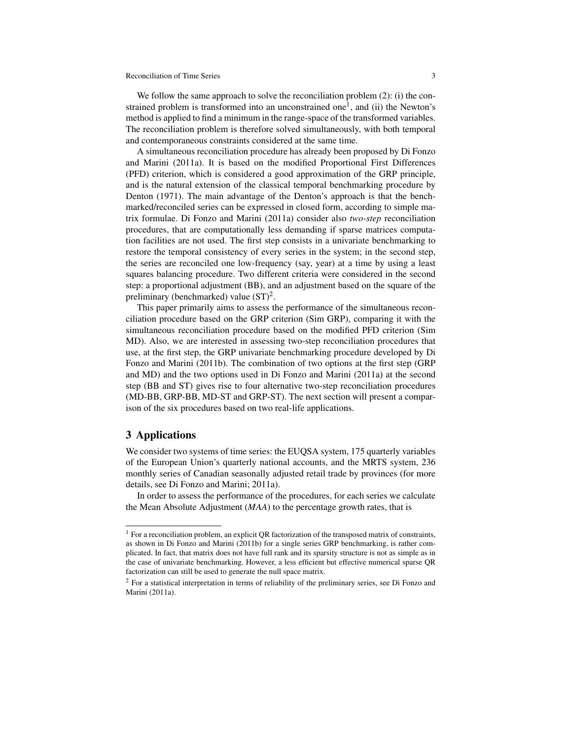#### Reconciliation of Time Series 3

We follow the same approach to solve the reconciliation problem  $(2)$ : (i) the constrained problem is transformed into an unconstrained one<sup>1</sup>, and (ii) the Newton's method is applied to find a minimum in the range-space of the transformed variables. The reconciliation problem is therefore solved simultaneously, with both temporal and contemporaneous constraints considered at the same time.

A simultaneous reconciliation procedure has already been proposed by Di Fonzo and Marini (2011a). It is based on the modified Proportional First Differences (PFD) criterion, which is considered a good approximation of the GRP principle, and is the natural extension of the classical temporal benchmarking procedure by Denton (1971). The main advantage of the Denton's approach is that the benchmarked/reconciled series can be expressed in closed form, according to simple matrix formulae. Di Fonzo and Marini (2011a) consider also *two-step* reconciliation procedures, that are computationally less demanding if sparse matrices computation facilities are not used. The first step consists in a univariate benchmarking to restore the temporal consistency of every series in the system; in the second step, the series are reconciled one low-frequency (say, year) at a time by using a least squares balancing procedure. Two different criteria were considered in the second step: a proportional adjustment (BB), and an adjustment based on the square of the preliminary (benchmarked) value  $(ST)^2$ .

This paper primarily aims to assess the performance of the simultaneous reconciliation procedure based on the GRP criterion (Sim GRP), comparing it with the simultaneous reconciliation procedure based on the modified PFD criterion (Sim MD). Also, we are interested in assessing two-step reconciliation procedures that use, at the first step, the GRP univariate benchmarking procedure developed by Di Fonzo and Marini (2011b). The combination of two options at the first step (GRP and MD) and the two options used in Di Fonzo and Marini (2011a) at the second step (BB and ST) gives rise to four alternative two-step reconciliation procedures (MD-BB, GRP-BB, MD-ST and GRP-ST). The next section will present a comparison of the six procedures based on two real-life applications.

# 3 Applications

We consider two systems of time series: the EUQSA system, 175 quarterly variables of the European Union's quarterly national accounts, and the MRTS system, 236 monthly series of Canadian seasonally adjusted retail trade by provinces (for more details, see Di Fonzo and Marini; 2011a).

In order to assess the performance of the procedures, for each series we calculate the Mean Absolute Adjustment (*MAA*) to the percentage growth rates, that is

<sup>&</sup>lt;sup>1</sup> For a reconciliation problem, an explicit QR factorization of the transposed matrix of constraints, as shown in Di Fonzo and Marini (2011b) for a single series GRP benchmarking, is rather complicated. In fact, that matrix does not have full rank and its sparsity structure is not as simple as in the case of univariate benchmarking. However, a less efficient but effective numerical sparse QR factorization can still be used to generate the null space matrix.

<sup>&</sup>lt;sup>2</sup> For a statistical interpretation in terms of reliability of the preliminary series, see Di Fonzo and Marini (2011a).